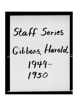Staff Series Gibbons, Harold  $1949-$ 1950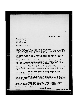January 31, 1949

Mr. Harold Gibbons. 1127 Pine St., 2nd floor St. Louis, Mo.

Dear Sir and Brother,

EJZ/WWH

ł

Auditor Frank D. Brown 'phoned asking that we send you a cut or news-paper mat of General President Daniel J. Tobin. I regret to advise we do not have either of these and am sending you herewith a glossy print of President Tobin, which I trust will be of some use to you.

Also enclosed find a short history of the International Brotherhood and the following information has been taken from the Who's Who in Labor:

TOBIN, DANIEL J. International Brotherhood of Teamsters, Chauffeurs,<br>Warehousemen and Helpers of America (AFL); Gen.<br>Pres. 222 E. Michigan St., Indianapolis, Ind. Tel. Riley 1455 - Vice-<br>President Building Trades Council;

Past Record: Rep. AFL bitish Trades Union Congress, 1911, 39, 42; Rep. AFL. Intl Federation of Trade Unions Congress, Amsterdam, 199; Rep. AFL Pan-American Labor Convention, Mexico City 1920.

Public Activ. Appointed Administrator to Pres. Roosevelt; Resigned to manage labor campaign, Dir., Labor Campaign in Democratic Hdges 1932-36, 1940-44.

Family: b. Apr. 1876 Ireland, U. S. Citizen (father John Tobin, general storekeeper; mother Bridget Kennelly); a. 1898 Annie Reagan; ch. John M., Francis 1., Frederics Edmunt P., Joseph, Katherins, Roman Catiolic.

Educ. Mem. Sch; Wigh Migh Sch. Writings: Editor Teamaters dagazine sine 1908. Clubs: Anithts of Columbus; Aks; Catholic Forresters. Sports: bessball, football, awimaing.

Trusting the above will be on nome swrvice, Fraternally yours,

GENERAL ORGANIZER